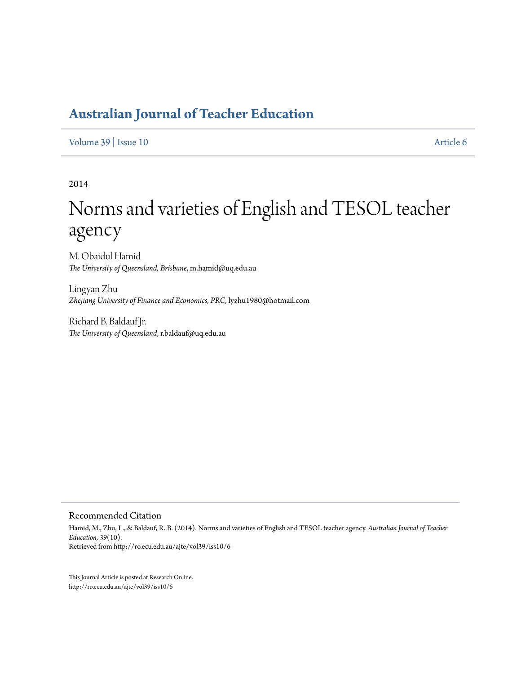[Volume 39](http://ro.ecu.edu.au/ajte/vol39) | [Issue 10](http://ro.ecu.edu.au/ajte/vol39/iss10) [Article 6](http://ro.ecu.edu.au/ajte/vol39/iss10/6)

2014

# Norms and varieties of English and TESOL teacher agency

M. Obaidul Hamid *The University of Queensland, Brisbane*, m.hamid@uq.edu.au

Lingyan Zhu *Zhejiang University of Finance and Economics, PRC*, lyzhu1980@hotmail.com

Richard B. Baldauf Jr. *The University of Queensland*, r.baldauf@uq.edu.au

Recommended Citation

Hamid, M., Zhu, L., & Baldauf, R. B. (2014). Norms and varieties of English and TESOL teacher agency. *Australian Journal of Teacher Education, 39*(10). Retrieved from http://ro.ecu.edu.au/ajte/vol39/iss10/6

This Journal Article is posted at Research Online. http://ro.ecu.edu.au/ajte/vol39/iss10/6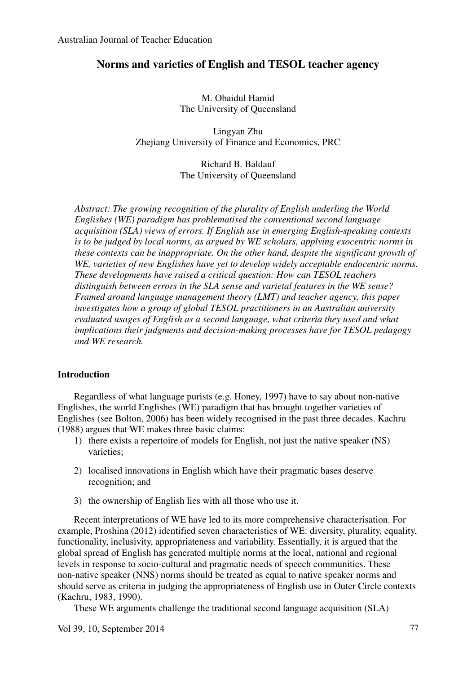## **Norms and varieties of English and TESOL teacher agency**

M. Obaidul Hamid The University of Queensland

Lingyan Zhu Zhejiang University of Finance and Economics, PRC

> Richard B. Baldauf The University of Queensland

*Abstract: The growing recognition of the plurality of English underling the World Englishes (WE) paradigm has problematised the conventional second language acquisition (SLA) views of errors. If English use in emerging English-speaking contexts is to be judged by local norms, as argued by WE scholars, applying exocentric norms in these contexts can be inappropriate. On the other hand, despite the significant growth of WE, varieties of new Englishes have yet to develop widely acceptable endocentric norms. These developments have raised a critical question: How can TESOL teachers distinguish between errors in the SLA sense and varietal features in the WE sense? Framed around language management theory (LMT) and teacher agency, this paper investigates how a group of global TESOL practitioners in an Australian university evaluated usages of English as a second language, what criteria they used and what implications their judgments and decision-making processes have for TESOL pedagogy and WE research.* 

## **Introduction**

Regardless of what language purists (e.g. Honey, 1997) have to say about non-native Englishes, the world Englishes (WE) paradigm that has brought together varieties of Englishes (see Bolton, 2006) has been widely recognised in the past three decades. Kachru (1988) argues that WE makes three basic claims:

- 1) there exists a repertoire of models for English, not just the native speaker (NS) varieties;
- 2) localised innovations in English which have their pragmatic bases deserve recognition; and
- 3) the ownership of English lies with all those who use it.

Recent interpretations of WE have led to its more comprehensive characterisation. For example, Proshina (2012) identified seven characteristics of WE: diversity, plurality, equality, functionality, inclusivity, appropriateness and variability. Essentially, it is argued that the global spread of English has generated multiple norms at the local, national and regional levels in response to socio-cultural and pragmatic needs of speech communities. These non-native speaker (NNS) norms should be treated as equal to native speaker norms and should serve as criteria in judging the appropriateness of English use in Outer Circle contexts (Kachru, 1983, 1990).

These WE arguments challenge the traditional second language acquisition (SLA)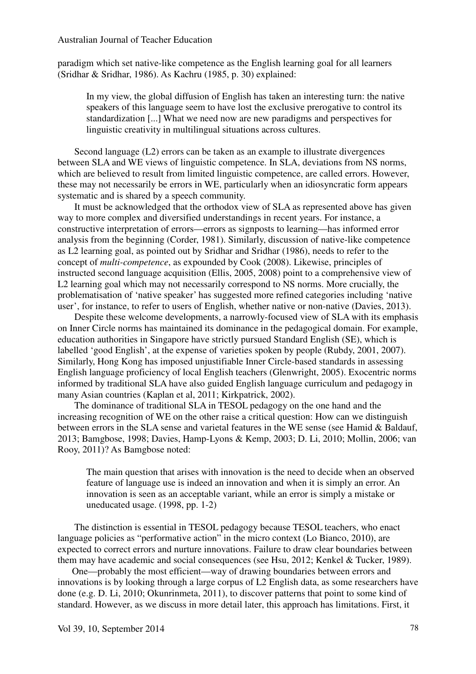paradigm which set native-like competence as the English learning goal for all learners (Sridhar & Sridhar, 1986). As Kachru (1985, p. 30) explained:

In my view, the global diffusion of English has taken an interesting turn: the native speakers of this language seem to have lost the exclusive prerogative to control its standardization [...] What we need now are new paradigms and perspectives for linguistic creativity in multilingual situations across cultures.

Second language (L2) errors can be taken as an example to illustrate divergences between SLA and WE views of linguistic competence. In SLA, deviations from NS norms, which are believed to result from limited linguistic competence, are called errors. However, these may not necessarily be errors in WE, particularly when an idiosyncratic form appears systematic and is shared by a speech community.

It must be acknowledged that the orthodox view of SLA as represented above has given way to more complex and diversified understandings in recent years. For instance, a constructive interpretation of errors—errors as signposts to learning—has informed error analysis from the beginning (Corder, 1981). Similarly, discussion of native-like competence as L2 learning goal, as pointed out by Sridhar and Sridhar (1986), needs to refer to the concept of *multi-competence*, as expounded by Cook (2008). Likewise, principles of instructed second language acquisition (Ellis, 2005, 2008) point to a comprehensive view of L2 learning goal which may not necessarily correspond to NS norms. More crucially, the problematisation of 'native speaker' has suggested more refined categories including 'native user', for instance, to refer to users of English, whether native or non-native (Davies, 2013).

Despite these welcome developments, a narrowly-focused view of SLA with its emphasis on Inner Circle norms has maintained its dominance in the pedagogical domain. For example, education authorities in Singapore have strictly pursued Standard English (SE), which is labelled 'good English', at the expense of varieties spoken by people (Rubdy, 2001, 2007). Similarly, Hong Kong has imposed unjustifiable Inner Circle-based standards in assessing English language proficiency of local English teachers (Glenwright, 2005). Exocentric norms informed by traditional SLA have also guided English language curriculum and pedagogy in many Asian countries (Kaplan et al, 2011; Kirkpatrick, 2002).

The dominance of traditional SLA in TESOL pedagogy on the one hand and the increasing recognition of WE on the other raise a critical question: How can we distinguish between errors in the SLA sense and varietal features in the WE sense (see Hamid & Baldauf, 2013; Bamgbose, 1998; Davies, Hamp-Lyons & Kemp, 2003; D. Li, 2010; Mollin, 2006; van Rooy, 2011)? As Bamgbose noted:

The main question that arises with innovation is the need to decide when an observed feature of language use is indeed an innovation and when it is simply an error. An innovation is seen as an acceptable variant, while an error is simply a mistake or uneducated usage. (1998, pp. 1-2)

The distinction is essential in TESOL pedagogy because TESOL teachers, who enact language policies as "performative action" in the micro context (Lo Bianco, 2010), are expected to correct errors and nurture innovations. Failure to draw clear boundaries between them may have academic and social consequences (see Hsu, 2012; Kenkel & Tucker, 1989).

One—probably the most efficient—way of drawing boundaries between errors and innovations is by looking through a large corpus of L2 English data, as some researchers have done (e.g. D. Li, 2010; Okunrinmeta, 2011), to discover patterns that point to some kind of standard. However, as we discuss in more detail later, this approach has limitations. First, it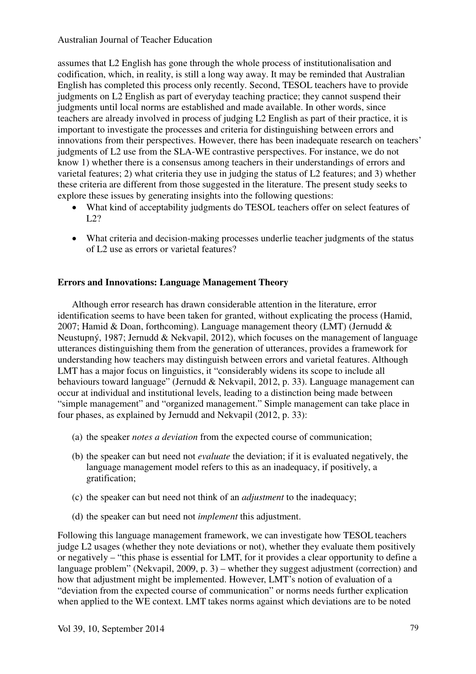assumes that L2 English has gone through the whole process of institutionalisation and codification, which, in reality, is still a long way away. It may be reminded that Australian English has completed this process only recently. Second, TESOL teachers have to provide judgments on L2 English as part of everyday teaching practice; they cannot suspend their judgments until local norms are established and made available. In other words, since teachers are already involved in process of judging L2 English as part of their practice, it is important to investigate the processes and criteria for distinguishing between errors and innovations from their perspectives. However, there has been inadequate research on teachers' judgments of L2 use from the SLA-WE contrastive perspectives. For instance, we do not know 1) whether there is a consensus among teachers in their understandings of errors and varietal features; 2) what criteria they use in judging the status of L2 features; and 3) whether these criteria are different from those suggested in the literature. The present study seeks to explore these issues by generating insights into the following questions:

- What kind of acceptability judgments do TESOL teachers offer on select features of  $L22$
- What criteria and decision-making processes underlie teacher judgments of the status of L2 use as errors or varietal features?

## **Errors and Innovations: Language Management Theory**

Although error research has drawn considerable attention in the literature, error identification seems to have been taken for granted, without explicating the process (Hamid, 2007; Hamid & Doan, forthcoming). Language management theory (LMT) (Jernudd & Neustupný, 1987; Jernudd & Nekvapil, 2012), which focuses on the management of language utterances distinguishing them from the generation of utterances, provides a framework for understanding how teachers may distinguish between errors and varietal features. Although LMT has a major focus on linguistics, it "considerably widens its scope to include all behaviours toward language" (Jernudd & Nekvapil, 2012, p. 33). Language management can occur at individual and institutional levels, leading to a distinction being made between "simple management" and "organized management." Simple management can take place in four phases, as explained by Jernudd and Nekvapil (2012, p. 33):

- (a) the speaker *notes a deviation* from the expected course of communication;
- (b) the speaker can but need not *evaluate* the deviation; if it is evaluated negatively, the language management model refers to this as an inadequacy, if positively, a gratification;
- (c) the speaker can but need not think of an *adjustment* to the inadequacy;
- (d) the speaker can but need not *implement* this adjustment.

Following this language management framework, we can investigate how TESOL teachers judge L2 usages (whether they note deviations or not), whether they evaluate them positively or negatively – "this phase is essential for LMT, for it provides a clear opportunity to define a language problem" (Nekvapil, 2009, p. 3) – whether they suggest adjustment (correction) and how that adjustment might be implemented. However, LMT's notion of evaluation of a "deviation from the expected course of communication" or norms needs further explication when applied to the WE context. LMT takes norms against which deviations are to be noted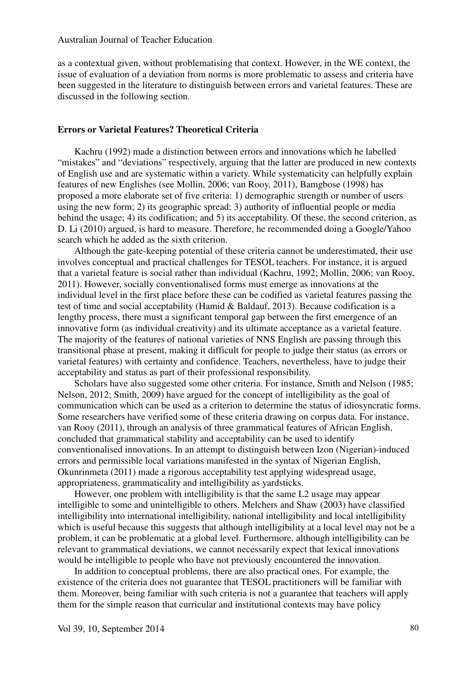as a contextual given, without problematising that context. However, in the WE context, the issue of evaluation of a deviation from norms is more problematic to assess and criteria have been suggested in the literature to distinguish between errors and varietal features. These are discussed in the following section.

## **Errors or Varietal Features? Theoretical Criteria**

Kachru (1992) made a distinction between errors and innovations which he labelled "mistakes" and "deviations" respectively, arguing that the latter are produced in new contexts of English use and are systematic within a variety. While systematicity can helpfully explain features of new Englishes (see Mollin, 2006; van Rooy, 2011), Bamgbose (1998) has proposed a more elaborate set of five criteria: 1) demographic strength or number of users using the new form; 2) its geographic spread; 3) authority of influential people or media behind the usage; 4) its codification; and 5) its acceptability. Of these, the second criterion, as D. Li (2010) argued, is hard to measure. Therefore, he recommended doing a Google/Yahoo search which he added as the sixth criterion.

Although the gate-keeping potential of these criteria cannot be underestimated, their use involves conceptual and practical challenges for TESOL teachers. For instance, it is argued that a varietal feature is social rather than individual (Kachru, 1992; Mollin, 2006; van Rooy, 2011). However, socially conventionalised forms must emerge as innovations at the individual level in the first place before these can be codified as varietal features passing the test of time and social acceptability (Hamid & Baldauf, 2013). Because codification is a lengthy process, there must a significant temporal gap between the first emergence of an innovative form (as individual creativity) and its ultimate acceptance as a varietal feature. The majority of the features of national varieties of NNS English are passing through this transitional phase at present, making it difficult for people to judge their status (as errors or varietal features) with certainty and confidence. Teachers, nevertheless, have to judge their acceptability and status as part of their professional responsibility.

Scholars have also suggested some other criteria. For instance, Smith and Nelson (1985; Nelson, 2012; Smith, 2009) have argued for the concept of intelligibility as the goal of communication which can be used as a criterion to determine the status of idiosyncratic forms. Some researchers have verified some of these criteria drawing on corpus data. For instance, van Rooy (2011), through an analysis of three grammatical features of African English, concluded that grammatical stability and acceptability can be used to identify conventionalised innovations. In an attempt to distinguish between Izon (Nigerian)-induced errors and permissible local variations manifested in the syntax of Nigerian English, Okunrinmeta (2011) made a rigorous acceptability test applying widespread usage, appropriateness, grammaticality and intelligibility as yardsticks.

However, one problem with intelligibility is that the same L2 usage may appear intelligible to some and unintelligible to others. Melchers and Shaw (2003) have classified intelligibility into international intelligibility, national intelligibility and local intelligibility which is useful because this suggests that although intelligibility at a local level may not be a problem, it can be problematic at a global level. Furthermore, although intelligibility can be relevant to grammatical deviations, we cannot necessarily expect that lexical innovations would be intelligible to people who have not previously encountered the innovation.

In addition to conceptual problems, there are also practical ones. For example, the existence of the criteria does not guarantee that TESOL practitioners will be familiar with them. Moreover, being familiar with such criteria is not a guarantee that teachers will apply them for the simple reason that curricular and institutional contexts may have policy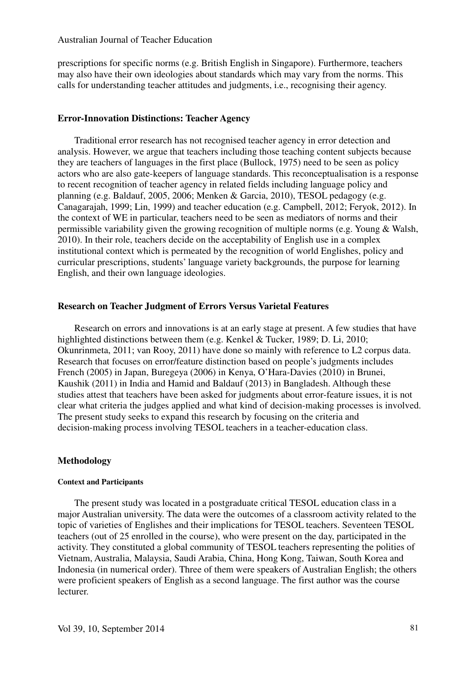prescriptions for specific norms (e.g. British English in Singapore). Furthermore, teachers may also have their own ideologies about standards which may vary from the norms. This calls for understanding teacher attitudes and judgments, i.e., recognising their agency.

#### **Error-Innovation Distinctions: Teacher Agency**

Traditional error research has not recognised teacher agency in error detection and analysis. However, we argue that teachers including those teaching content subjects because they are teachers of languages in the first place (Bullock, 1975) need to be seen as policy actors who are also gate-keepers of language standards. This reconceptualisation is a response to recent recognition of teacher agency in related fields including language policy and planning (e.g. Baldauf, 2005, 2006; Menken & Garcia, 2010), TESOL pedagogy (e.g. Canagarajah, 1999; Lin, 1999) and teacher education (e.g. Campbell, 2012; Feryok, 2012). In the context of WE in particular, teachers need to be seen as mediators of norms and their permissible variability given the growing recognition of multiple norms (e.g. Young & Walsh, 2010). In their role, teachers decide on the acceptability of English use in a complex institutional context which is permeated by the recognition of world Englishes, policy and curricular prescriptions, students' language variety backgrounds, the purpose for learning English, and their own language ideologies.

#### **Research on Teacher Judgment of Errors Versus Varietal Features**

Research on errors and innovations is at an early stage at present. A few studies that have highlighted distinctions between them (e.g. Kenkel & Tucker, 1989; D. Li, 2010; Okunrinmeta, 2011; van Rooy, 2011) have done so mainly with reference to L2 corpus data. Research that focuses on error/feature distinction based on people's judgments includes French (2005) in Japan, Buregeya (2006) in Kenya, O'Hara-Davies (2010) in Brunei, Kaushik (2011) in India and Hamid and Baldauf (2013) in Bangladesh. Although these studies attest that teachers have been asked for judgments about error-feature issues, it is not clear what criteria the judges applied and what kind of decision-making processes is involved. The present study seeks to expand this research by focusing on the criteria and decision-making process involving TESOL teachers in a teacher-education class.

## **Methodology**

#### **Context and Participants**

The present study was located in a postgraduate critical TESOL education class in a major Australian university. The data were the outcomes of a classroom activity related to the topic of varieties of Englishes and their implications for TESOL teachers. Seventeen TESOL teachers (out of 25 enrolled in the course), who were present on the day, participated in the activity. They constituted a global community of TESOL teachers representing the polities of Vietnam, Australia, Malaysia, Saudi Arabia, China, Hong Kong, Taiwan, South Korea and Indonesia (in numerical order). Three of them were speakers of Australian English; the others were proficient speakers of English as a second language. The first author was the course lecturer.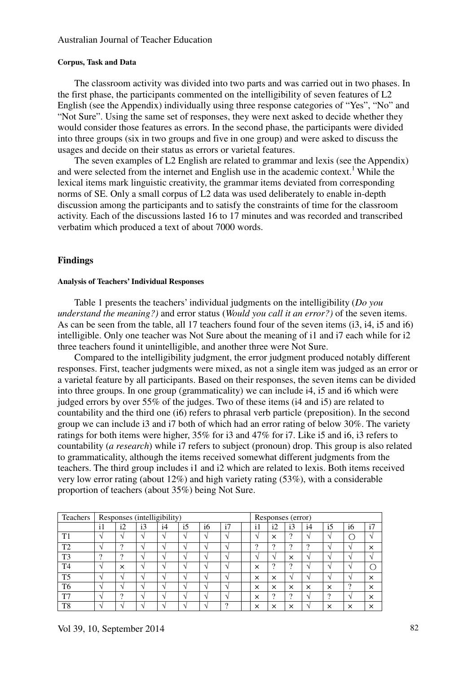#### **Corpus, Task and Data**

The classroom activity was divided into two parts and was carried out in two phases. In the first phase, the participants commented on the intelligibility of seven features of L2 English (see the Appendix) individually using three response categories of "Yes", "No" and "Not Sure". Using the same set of responses, they were next asked to decide whether they would consider those features as errors. In the second phase, the participants were divided into three groups (six in two groups and five in one group) and were asked to discuss the usages and decide on their status as errors or varietal features.

The seven examples of L2 English are related to grammar and lexis (see the Appendix) and were selected from the internet and English use in the academic context.<sup>1</sup> While the lexical items mark linguistic creativity, the grammar items deviated from corresponding norms of SE. Only a small corpus of L2 data was used deliberately to enable in-depth discussion among the participants and to satisfy the constraints of time for the classroom activity. Each of the discussions lasted 16 to 17 minutes and was recorded and transcribed verbatim which produced a text of about 7000 words.

## **Findings**

#### **Analysis of Teachers' Individual Responses**

Table 1 presents the teachers' individual judgments on the intelligibility (*Do you understand the meaning?)* and error status (*Would you call it an error?)* of the seven items. As can be seen from the table, all 17 teachers found four of the seven items (i3, i4, i5 and i6) intelligible. Only one teacher was Not Sure about the meaning of i1 and i7 each while for i2 three teachers found it unintelligible, and another three were Not Sure.

Compared to the intelligibility judgment, the error judgment produced notably different responses. First, teacher judgments were mixed, as not a single item was judged as an error or a varietal feature by all participants. Based on their responses, the seven items can be divided into three groups. In one group (grammaticality) we can include i4, i5 and i6 which were judged errors by over 55% of the judges. Two of these items (i4 and i5) are related to countability and the third one (i6) refers to phrasal verb particle (preposition). In the second group we can include i3 and i7 both of which had an error rating of below 30%. The variety ratings for both items were higher, 35% for i3 and 47% for i7. Like i5 and i6, i3 refers to countability (*a research*) while i7 refers to subject (pronoun) drop. This group is also related to grammaticality, although the items received somewhat different judgments from the teachers. The third group includes i1 and i2 which are related to lexis. Both items received very low error rating (about 12%) and high variety rating (53%), with a considerable proportion of teachers (about 35%) being Not Sure.

| Teachers       | Responses (intelligibility) |                 |                          |                          |                 |                          |          |  | Responses (error) |                 |                          |                          |                          |               |          |  |
|----------------|-----------------------------|-----------------|--------------------------|--------------------------|-----------------|--------------------------|----------|--|-------------------|-----------------|--------------------------|--------------------------|--------------------------|---------------|----------|--|
|                | $\frac{1}{1}$               | i2              | i3                       | i4                       | $\overline{15}$ | i6                       | i7       |  | $\mathbf{i}$      | i2              | i3                       | i4                       | $\overline{15}$          | <sub>i6</sub> | i7       |  |
| T1             |                             | $\triangleleft$ | $\overline{\phantom{a}}$ | $\overline{\phantom{a}}$ |                 | $\mathbf{\hat{}}$        |          |  | $\mathcal{N}$     | $\times$        | ົ                        | $\mathbf{\hat{}}$        | $\overline{\phantom{a}}$ |               | $\sim$   |  |
| T <sub>2</sub> |                             | $\Omega$        | ×,                       |                          |                 | $\overline{\phantom{a}}$ |          |  | $\Omega$          | $\Omega$        | $\Omega$                 | $\Omega$                 |                          |               | $\times$ |  |
| T <sub>3</sub> | $\Omega$                    | $\Omega$        |                          |                          |                 | $\mathbf \Lambda$        |          |  | $\Delta$          | $\triangleleft$ | X                        | $\overline{\phantom{a}}$ |                          |               | $\sim$   |  |
| T <sub>4</sub> |                             | $\times$        | ۰                        |                          |                 | $\overline{\phantom{a}}$ |          |  | $\times$          | $\Omega$        | ച                        | $\overline{\phantom{a}}$ |                          |               | ◠        |  |
| T <sub>5</sub> |                             | ×,              |                          |                          |                 | $\overline{\phantom{a}}$ |          |  | $\times$          | $\times$        | $\overline{\phantom{a}}$ | $\overline{\phantom{a}}$ |                          |               | $\times$ |  |
| T6             |                             | $\mathbf{A}$    | ×,                       |                          |                 | $\mathbf{\hat{}}$        |          |  | $\times$          | X               | X                        | X                        | ×                        | റ             | $\times$ |  |
| T <sub>1</sub> |                             | $\Omega$        | ×,                       |                          |                 | $\mathbf \Lambda$        |          |  | $\times$          | റ               | ົ<br>-2                  | $\mathbf{\Lambda}$       | $\Omega$                 |               | $\times$ |  |
| T <sub>8</sub> |                             |                 |                          |                          |                 |                          | $\Omega$ |  | $\times$          | X               | $\times$                 |                          | $\times$                 | $\times$      | $\times$ |  |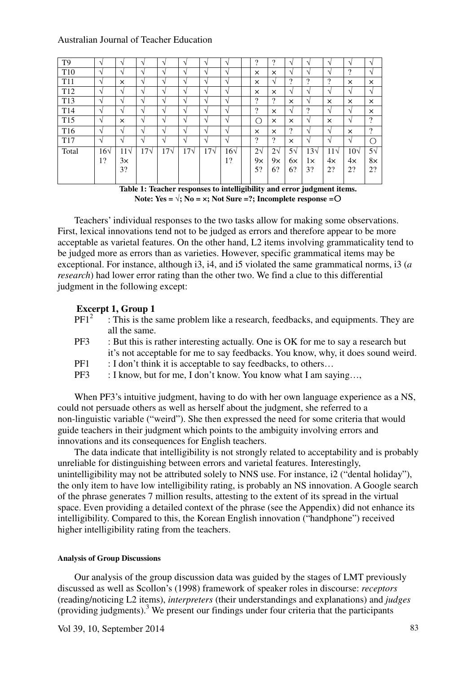| T <sub>9</sub>  | $\sqrt{ }$   | $\overline{\phantom{a}}$ | $\Delta$      | $\mathcal{N}$ | $\sim$        | N            | ٦             | ?                        | ົາ                 | N             | $\mathcal{L}$ | $\mathcal{L}$ | $\sqrt{ }$ | $\mathcal{L}$            |
|-----------------|--------------|--------------------------|---------------|---------------|---------------|--------------|---------------|--------------------------|--------------------|---------------|---------------|---------------|------------|--------------------------|
| T <sub>10</sub> | N            | $\Delta$                 | $\mathcal{N}$ | $\mathcal{N}$ | $\mathcal{N}$ | V            | V             | $\times$                 | ×                  | V             | $\Delta$      | $\mathcal{N}$ | 2          | V                        |
| T <sub>11</sub> | $\sqrt{ }$   | X                        | $\mathcal{N}$ | $\mathcal{N}$ | $\sim$        | N            | $\mathcal{N}$ | $\times$                 | V                  | $\Omega$      | റ             | $\mathcal{P}$ | ×          | $\times$                 |
| T <sub>12</sub> | V            | V                        | $\mathcal{N}$ | $\mathcal{N}$ | $\sqrt{ }$    | V            | V             | $\times$                 | $\times$           | V             | $\mathcal{L}$ | $\mathcal{N}$ | $\sqrt{ }$ | V                        |
| T <sub>13</sub> | $\sqrt{ }$   | ٦Ι                       | N             | $\sqrt{ }$    | $\sqrt{ }$    | V            | V             | $\overline{\cdot}$       | $\Omega$           | ×             | V             | $\times$      | ×          | $\times$                 |
| T <sub>14</sub> | V            | $\Delta$                 | $\sim$        | $\mathcal{N}$ | $\mathcal{N}$ | N            | N             | $\overline{\cdot}$       | ×                  | V             | $\Omega$      | $\mathcal{N}$ | $\sqrt{ }$ | $\times$                 |
| T <sub>15</sub> | $\sqrt{ }$   | X                        | $\mathcal{N}$ | $\mathcal{N}$ | $\mathcal{N}$ | N            | V             | О                        | ×                  | $\times$      | $\mathcal{N}$ | $\times$      | V          | $\overline{\mathcal{L}}$ |
| T <sub>16</sub> | V            | ا ۱                      | $\mathcal{N}$ | $\mathcal{N}$ | V             | V            | V             | $\times$                 | ×                  | $\mathcal{D}$ | $\mathcal{N}$ | N             | $\times$   | $\gamma$                 |
| T17             | V            | $\Delta$                 | $\sim$        | $\mathcal{L}$ | $\mathcal{N}$ | V            | V             | $\overline{\mathcal{L}}$ | $\overline{\cdot}$ | ×             | $\mathcal{N}$ | $\mathcal{N}$ | $\sqrt{ }$ | ∩                        |
| Total           | $16\sqrt{ }$ | $11\sqrt$                | $17\sqrt{ }$  | $17\sqrt{ }$  | $17\sqrt{ }$  | $17\sqrt{ }$ | $16\sqrt{ }$  | $2\sqrt{ }$              | $2\sqrt{ }$        | $5\sqrt{ }$   | $13\sqrt{ }$  | $11\sqrt{ }$  | $10\sqrt$  | $5\sqrt{ }$              |
|                 | 1?           | 3×                       |               |               |               |              | 1?            | $9\times$                | 9x                 | 6×            | 1×            | 4x            | 4x         | $8\times$                |
|                 |              | 3?                       |               |               |               |              |               | 5?                       | 6?                 | 6?            | 3?            | 2?            | 2?         | 2?                       |
|                 |              |                          |               |               |               |              |               |                          |                    |               |               |               |            |                          |

**Table 1: Teacher responses to intelligibility and error judgment items.**  Note: Yes =  $\sqrt{$ **;** No =  $\times$ **;** Not Sure =?**;** Incomplete response = $\circ$ 

Teachers' individual responses to the two tasks allow for making some observations. First, lexical innovations tend not to be judged as errors and therefore appear to be more acceptable as varietal features. On the other hand, L2 items involving grammaticality tend to be judged more as errors than as varieties. However, specific grammatical items may be exceptional. For instance, although i3, i4, and i5 violated the same grammatical norms, i3 (*a research*) had lower error rating than the other two. We find a clue to this differential judgment in the following except:

## **Excerpt 1, Group 1**

- $PF1<sup>2</sup>$ : This is the same problem like a research, feedbacks, and equipments. They are all the same.
- PF3 : But this is rather interesting actually. One is OK for me to say a research but it's not acceptable for me to say feedbacks. You know, why, it does sound weird.
- PF1 : I don't think it is acceptable to say feedbacks, to others...
- PF3 : I know, but for me, I don't know. You know what I am saying...

When PF3's intuitive judgment, having to do with her own language experience as a NS, could not persuade others as well as herself about the judgment, she referred to a non-linguistic variable ("weird"). She then expressed the need for some criteria that would guide teachers in their judgment which points to the ambiguity involving errors and innovations and its consequences for English teachers.

The data indicate that intelligibility is not strongly related to acceptability and is probably unreliable for distinguishing between errors and varietal features. Interestingly, unintelligibility may not be attributed solely to NNS use. For instance, i2 ("dental holiday"), the only item to have low intelligibility rating, is probably an NS innovation. A Google search of the phrase generates 7 million results, attesting to the extent of its spread in the virtual space. Even providing a detailed context of the phrase (see the Appendix) did not enhance its intelligibility. Compared to this, the Korean English innovation ("handphone") received higher intelligibility rating from the teachers.

#### **Analysis of Group Discussions**

Our analysis of the group discussion data was guided by the stages of LMT previously discussed as well as Scollon's (1998) framework of speaker roles in discourse: *receptors* (reading/noticing L2 items), *interpreters* (their understandings and explanations) and *judges* (providing judgments).<sup>3</sup> We present our findings under four criteria that the participants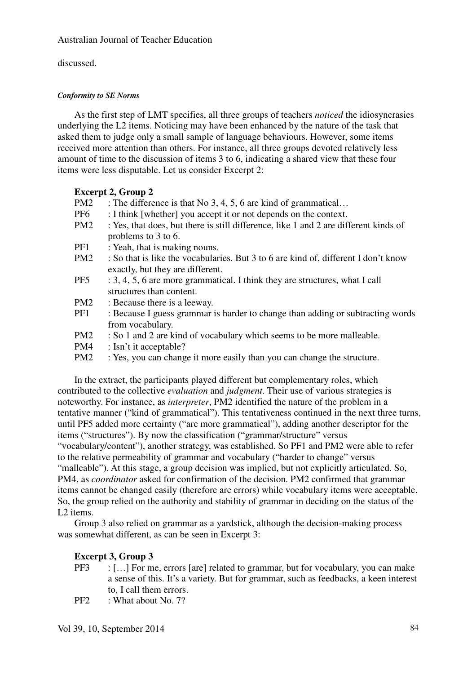discussed.

## *Conformity to SE Norms*

As the first step of LMT specifies, all three groups of teachers *noticed* the idiosyncrasies underlying the L2 items. Noticing may have been enhanced by the nature of the task that asked them to judge only a small sample of language behaviours. However, some items received more attention than others. For instance, all three groups devoted relatively less amount of time to the discussion of items 3 to 6, indicating a shared view that these four items were less disputable. Let us consider Excerpt 2:

## **Excerpt 2, Group 2**

- PM2 : The difference is that No 3, 4, 5, 6 are kind of grammatical...
- PF6 : I think [whether] you accept it or not depends on the context.
- PM2 : Yes, that does, but there is still difference, like 1 and 2 are different kinds of problems to 3 to 6.
- PF1 : Yeah, that is making nouns.
- PM2 : So that is like the vocabularies. But 3 to 6 are kind of, different I don't know exactly, but they are different.
- $PF5$  : 3, 4, 5, 6 are more grammatical. I think they are structures, what I call structures than content.
- PM2 : Because there is a leeway.
- PF1 : Because I guess grammar is harder to change than adding or subtracting words from vocabulary.
- PM2 : So 1 and 2 are kind of vocabulary which seems to be more malleable.
- PM4 : Isn't it acceptable?
- PM2 : Yes, you can change it more easily than you can change the structure.

In the extract, the participants played different but complementary roles, which contributed to the collective *evaluation* and *judgment*. Their use of various strategies is noteworthy. For instance, as *interpreter*, PM2 identified the nature of the problem in a tentative manner ("kind of grammatical"). This tentativeness continued in the next three turns, until PF5 added more certainty ("are more grammatical"), adding another descriptor for the items ("structures"). By now the classification ("grammar/structure" versus "vocabulary/content"), another strategy, was established. So PF1 and PM2 were able to refer to the relative permeability of grammar and vocabulary ("harder to change" versus "malleable"). At this stage, a group decision was implied, but not explicitly articulated. So, PM4, as *coordinator* asked for confirmation of the decision. PM2 confirmed that grammar items cannot be changed easily (therefore are errors) while vocabulary items were acceptable. So, the group relied on the authority and stability of grammar in deciding on the status of the L2 items.

Group 3 also relied on grammar as a yardstick, although the decision-making process was somewhat different, as can be seen in Excerpt 3:

## **Excerpt 3, Group 3**

- PF3 : […] For me, errors [are] related to grammar, but for vocabulary, you can make a sense of this. It's a variety. But for grammar, such as feedbacks, a keen interest to, I call them errors.
- PF2 : What about No. 7?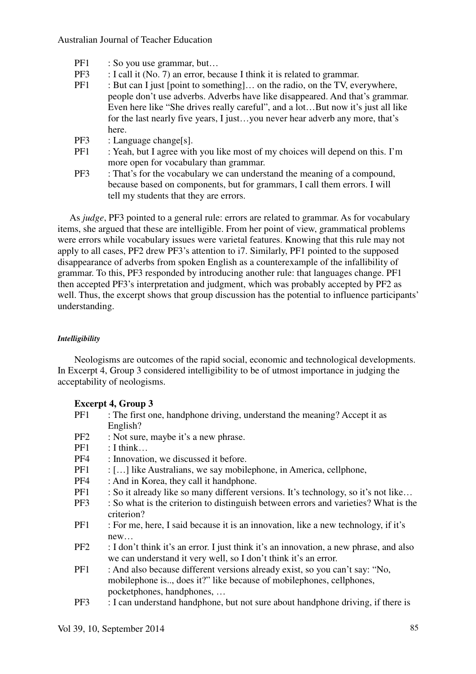- PF1 : So you use grammar, but...
- PF3 : I call it (No. 7) an error, because I think it is related to grammar.<br>PF1 : But can I just [point to something] on the radio on the TV even
- $\pm$  But can I just [point to something]... on the radio, on the TV, everywhere, people don't use adverbs. Adverbs have like disappeared. And that's grammar. Even here like "She drives really careful", and a lot…But now it's just all like for the last nearly five years, I just…you never hear adverb any more, that's here.
- PF3 : Language change[s].
- PF1 : Yeah, but I agree with you like most of my choices will depend on this. I'm more open for vocabulary than grammar.
- PF3 : That's for the vocabulary we can understand the meaning of a compound, because based on components, but for grammars, I call them errors. I will tell my students that they are errors.

As *judge*, PF3 pointed to a general rule: errors are related to grammar. As for vocabulary items, she argued that these are intelligible. From her point of view, grammatical problems were errors while vocabulary issues were varietal features. Knowing that this rule may not apply to all cases, PF2 drew PF3's attention to i7. Similarly, PF1 pointed to the supposed disappearance of adverbs from spoken English as a counterexample of the infallibility of grammar. To this, PF3 responded by introducing another rule: that languages change. PF1 then accepted PF3's interpretation and judgment, which was probably accepted by PF2 as well. Thus, the excerpt shows that group discussion has the potential to influence participants' understanding.

## *Intelligibility*

Neologisms are outcomes of the rapid social, economic and technological developments. In Excerpt 4, Group 3 considered intelligibility to be of utmost importance in judging the acceptability of neologisms.

## **Excerpt 4, Group 3**

- PF1 : The first one, handphone driving, understand the meaning? Accept it as English?
- PF2 : Not sure, maybe it's a new phrase.
- $PF1$   $\cdot$  I think
- PF4 : Innovation, we discussed it before.
- PF1 : […] like Australians, we say mobilephone, in America, cellphone,
- PF4 : And in Korea, they call it handphone.
- PF1 : So it already like so many different versions. It's technology, so it's not like…
- PF3 : So what is the criterion to distinguish between errors and varieties? What is the criterion?
- PF1 : For me, here, I said because it is an innovation, like a new technology, if it's new…
- PF2 : I don't think it's an error. I just think it's an innovation, a new phrase, and also we can understand it very well, so I don't think it's an error.
- PF1 : And also because different versions already exist, so you can't say: "No, mobilephone is.., does it?" like because of mobilephones, cellphones, pocketphones, handphones, …
- PF3 : I can understand handphone, but not sure about handphone driving, if there is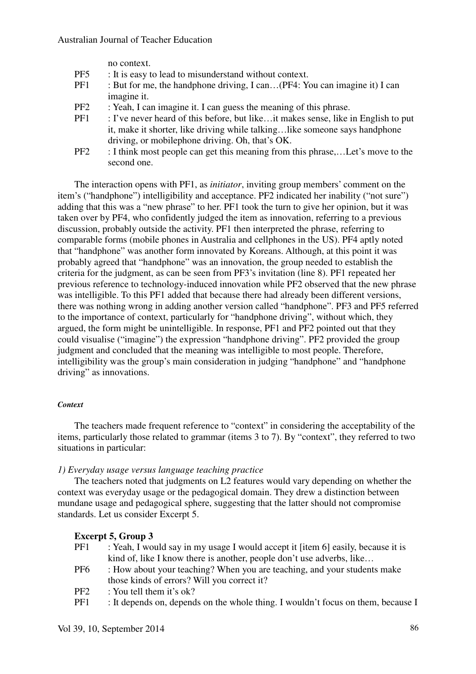no context.

- PF5 : It is easy to lead to misunderstand without context.
- PF1 : But for me, the handphone driving, I can...(PF4: You can imagine it) I can imagine it.
- PF2 : Yeah, I can imagine it. I can guess the meaning of this phrase.
- PF1 : I've never heard of this before, but like... it makes sense, like in English to put it, make it shorter, like driving while talking…like someone says handphone driving, or mobilephone driving. Oh, that's OK.
- PF2 : I think most people can get this meaning from this phrase,…Let's move to the second one.

The interaction opens with PF1, as *initiator*, inviting group members' comment on the item's ("handphone") intelligibility and acceptance. PF2 indicated her inability ("not sure") adding that this was a "new phrase" to her. PF1 took the turn to give her opinion, but it was taken over by PF4, who confidently judged the item as innovation, referring to a previous discussion, probably outside the activity. PF1 then interpreted the phrase, referring to comparable forms (mobile phones in Australia and cellphones in the US). PF4 aptly noted that "handphone" was another form innovated by Koreans. Although, at this point it was probably agreed that "handphone" was an innovation, the group needed to establish the criteria for the judgment, as can be seen from PF3's invitation (line 8). PF1 repeated her previous reference to technology-induced innovation while PF2 observed that the new phrase was intelligible. To this PF1 added that because there had already been different versions, there was nothing wrong in adding another version called "handphone". PF3 and PF5 referred to the importance of context, particularly for "handphone driving", without which, they argued, the form might be unintelligible. In response, PF1 and PF2 pointed out that they could visualise ("imagine") the expression "handphone driving". PF2 provided the group judgment and concluded that the meaning was intelligible to most people. Therefore, intelligibility was the group's main consideration in judging "handphone" and "handphone driving" as innovations.

## *Context*

The teachers made frequent reference to "context" in considering the acceptability of the items, particularly those related to grammar (items 3 to 7). By "context", they referred to two situations in particular:

## *1) Everyday usage versus language teaching practice*

The teachers noted that judgments on L2 features would vary depending on whether the context was everyday usage or the pedagogical domain. They drew a distinction between mundane usage and pedagogical sphere, suggesting that the latter should not compromise standards. Let us consider Excerpt 5.

## **Excerpt 5, Group 3**

| PF1             | : Yeah, I would say in my usage I would accept it [item 6] easily, because it is |
|-----------------|----------------------------------------------------------------------------------|
|                 | kind of, like I know there is another, people don't use adverbs, like            |
| PF <sub>6</sub> | : How about your teaching? When you are teaching, and your students make         |
|                 | those kinds of errors? Will you correct it?                                      |
| DE 2            | $\cdot$ Vou tall tham it's ak?                                                   |

- PF2 : You tell them it's ok?
- PF1 : It depends on, depends on the whole thing. I wouldn't focus on them, because I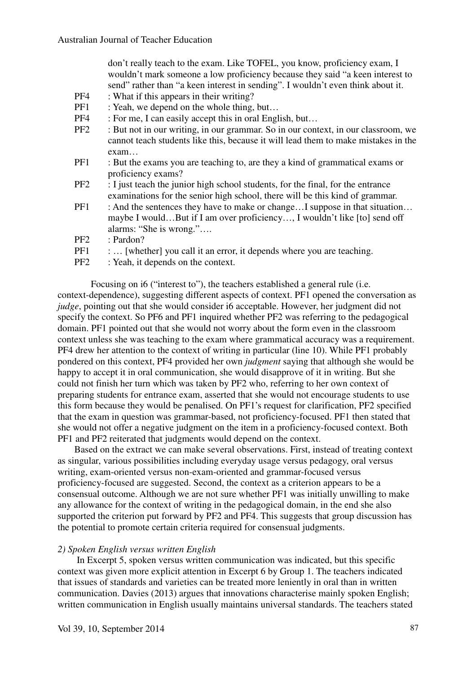don't really teach to the exam. Like TOFEL, you know, proficiency exam, I wouldn't mark someone a low proficiency because they said "a keen interest to send" rather than "a keen interest in sending". I wouldn't even think about it.

- PF4 : What if this appears in their writing?
- PF1 : Yeah, we depend on the whole thing, but...
- PF4 : For me, I can easily accept this in oral English, but...
- PF2 : But not in our writing, in our grammar. So in our context, in our classroom, we cannot teach students like this, because it will lead them to make mistakes in the exam…
- PF1 : But the exams you are teaching to, are they a kind of grammatical exams or proficiency exams?
- PF2 : I just teach the junior high school students, for the final, for the entrance examinations for the senior high school, there will be this kind of grammar.
- PF1 : And the sentences they have to make or change…I suppose in that situation… maybe I would…But if I am over proficiency…, I wouldn't like [to] send off alarms: "She is wrong."….
- PF2 : Pardon?
- PF1 : ... [whether] you call it an error, it depends where you are teaching.
- PF2 : Yeah, it depends on the context.

 Focusing on i6 ("interest to"), the teachers established a general rule (i.e. context-dependence), suggesting different aspects of context. PF1 opened the conversation as *judge*, pointing out that she would consider i6 acceptable. However, her judgment did not specify the context. So PF6 and PF1 inquired whether PF2 was referring to the pedagogical domain. PF1 pointed out that she would not worry about the form even in the classroom context unless she was teaching to the exam where grammatical accuracy was a requirement. PF4 drew her attention to the context of writing in particular (line 10). While PF1 probably pondered on this context, PF4 provided her own *judgment* saying that although she would be happy to accept it in oral communication, she would disapprove of it in writing. But she could not finish her turn which was taken by PF2 who, referring to her own context of preparing students for entrance exam, asserted that she would not encourage students to use this form because they would be penalised. On PF1's request for clarification, PF2 specified that the exam in question was grammar-based, not proficiency-focused. PF1 then stated that she would not offer a negative judgment on the item in a proficiency-focused context. Both PF1 and PF2 reiterated that judgments would depend on the context.

 Based on the extract we can make several observations. First, instead of treating context as singular, various possibilities including everyday usage versus pedagogy, oral versus writing, exam-oriented versus non-exam-oriented and grammar-focused versus proficiency-focused are suggested. Second, the context as a criterion appears to be a consensual outcome. Although we are not sure whether PF1 was initially unwilling to make any allowance for the context of writing in the pedagogical domain, in the end she also supported the criterion put forward by PF2 and PF4. This suggests that group discussion has the potential to promote certain criteria required for consensual judgments.

## *2) Spoken English versus written English*

In Excerpt 5, spoken versus written communication was indicated, but this specific context was given more explicit attention in Excerpt 6 by Group 1. The teachers indicated that issues of standards and varieties can be treated more leniently in oral than in written communication. Davies (2013) argues that innovations characterise mainly spoken English; written communication in English usually maintains universal standards. The teachers stated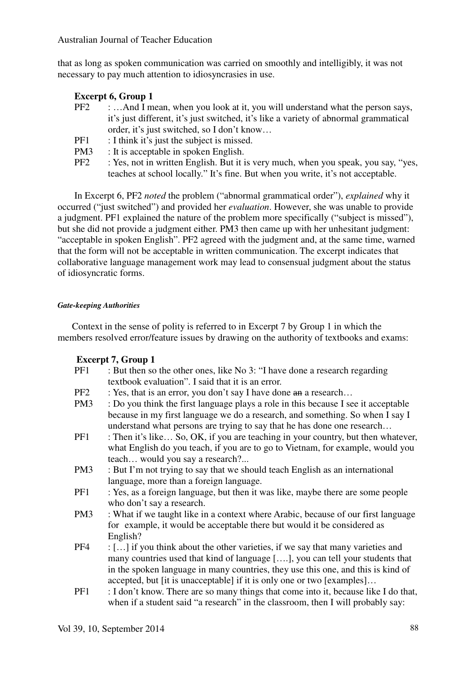that as long as spoken communication was carried on smoothly and intelligibly, it was not necessary to pay much attention to idiosyncrasies in use.

## **Excerpt 6, Group 1**

- PF2 : …And I mean, when you look at it, you will understand what the person says, it's just different, it's just switched, it's like a variety of abnormal grammatical order, it's just switched, so I don't know…
- PF1 : I think it's just the subject is missed.
- PM3 : It is acceptable in spoken English.
- PF2 : Yes, not in written English. But it is very much, when you speak, you say, "yes, teaches at school locally." It's fine. But when you write, it's not acceptable.

In Excerpt 6, PF2 *noted* the problem ("abnormal grammatical order"), *explained* why it occurred ("just switched") and provided her *evaluation*. However, she was unable to provide a judgment. PF1 explained the nature of the problem more specifically ("subject is missed"), but she did not provide a judgment either. PM3 then came up with her unhesitant judgment: "acceptable in spoken English". PF2 agreed with the judgment and, at the same time, warned that the form will not be acceptable in written communication. The excerpt indicates that collaborative language management work may lead to consensual judgment about the status of idiosyncratic forms.

## *Gate-keeping Authorities*

Context in the sense of polity is referred to in Excerpt 7 by Group 1 in which the members resolved error/feature issues by drawing on the authority of textbooks and exams:

## **Excerpt 7, Group 1**

- PF1 : But then so the other ones, like No 3: "I have done a research regarding textbook evaluation". I said that it is an error.
- PF2 : Yes, that is an error, you don't say I have done an a research...
- PM3 : Do you think the first language plays a role in this because I see it acceptable because in my first language we do a research, and something. So when I say I understand what persons are trying to say that he has done one research…
- PF1 : Then it's like... So, OK, if you are teaching in your country, but then whatever, what English do you teach, if you are to go to Vietnam, for example, would you teach… would you say a research?...
- PM3 : But I'm not trying to say that we should teach English as an international language, more than a foreign language.
- PF1 : Yes, as a foreign language, but then it was like, maybe there are some people who don't say a research.
- PM3 : What if we taught like in a context where Arabic, because of our first language for example, it would be acceptable there but would it be considered as English?
- PF4 : […] if you think about the other varieties, if we say that many varieties and many countries used that kind of language [….], you can tell your students that in the spoken language in many countries, they use this one, and this is kind of accepted, but [it is unacceptable] if it is only one or two [examples]…
- PF1 : I don't know. There are so many things that come into it, because like I do that, when if a student said "a research" in the classroom, then I will probably say: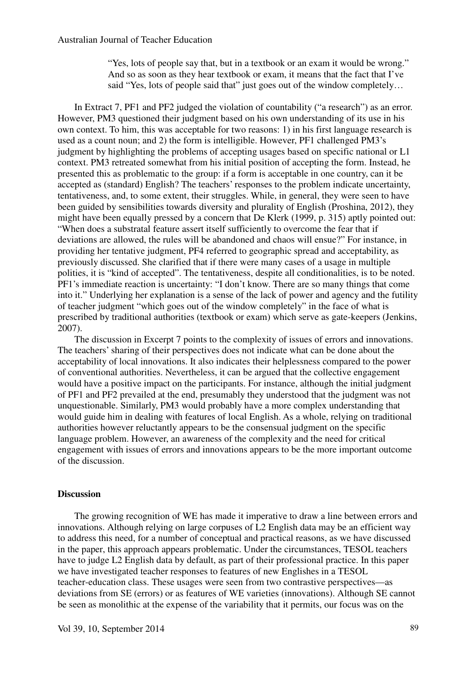"Yes, lots of people say that, but in a textbook or an exam it would be wrong." And so as soon as they hear textbook or exam, it means that the fact that I've said "Yes, lots of people said that" just goes out of the window completely...

In Extract 7, PF1 and PF2 judged the violation of countability ("a research") as an error. However, PM3 questioned their judgment based on his own understanding of its use in his own context. To him, this was acceptable for two reasons: 1) in his first language research is used as a count noun; and 2) the form is intelligible. However, PF1 challenged PM3's judgment by highlighting the problems of accepting usages based on specific national or L1 context. PM3 retreated somewhat from his initial position of accepting the form. Instead, he presented this as problematic to the group: if a form is acceptable in one country, can it be accepted as (standard) English? The teachers' responses to the problem indicate uncertainty, tentativeness, and, to some extent, their struggles. While, in general, they were seen to have been guided by sensibilities towards diversity and plurality of English (Proshina, 2012), they might have been equally pressed by a concern that De Klerk (1999, p. 315) aptly pointed out: "When does a substratal feature assert itself sufficiently to overcome the fear that if deviations are allowed, the rules will be abandoned and chaos will ensue?" For instance, in providing her tentative judgment, PF4 referred to geographic spread and acceptability, as previously discussed. She clarified that if there were many cases of a usage in multiple polities, it is "kind of accepted". The tentativeness, despite all conditionalities, is to be noted. PF1's immediate reaction is uncertainty: "I don't know. There are so many things that come into it." Underlying her explanation is a sense of the lack of power and agency and the futility of teacher judgment "which goes out of the window completely" in the face of what is prescribed by traditional authorities (textbook or exam) which serve as gate-keepers (Jenkins, 2007).

The discussion in Excerpt 7 points to the complexity of issues of errors and innovations. The teachers' sharing of their perspectives does not indicate what can be done about the acceptability of local innovations. It also indicates their helplessness compared to the power of conventional authorities. Nevertheless, it can be argued that the collective engagement would have a positive impact on the participants. For instance, although the initial judgment of PF1 and PF2 prevailed at the end, presumably they understood that the judgment was not unquestionable. Similarly, PM3 would probably have a more complex understanding that would guide him in dealing with features of local English. As a whole, relying on traditional authorities however reluctantly appears to be the consensual judgment on the specific language problem. However, an awareness of the complexity and the need for critical engagement with issues of errors and innovations appears to be the more important outcome of the discussion.

#### **Discussion**

The growing recognition of WE has made it imperative to draw a line between errors and innovations. Although relying on large corpuses of L2 English data may be an efficient way to address this need, for a number of conceptual and practical reasons, as we have discussed in the paper, this approach appears problematic. Under the circumstances, TESOL teachers have to judge L2 English data by default, as part of their professional practice. In this paper we have investigated teacher responses to features of new Englishes in a TESOL teacher-education class. These usages were seen from two contrastive perspectives—as deviations from SE (errors) or as features of WE varieties (innovations). Although SE cannot be seen as monolithic at the expense of the variability that it permits, our focus was on the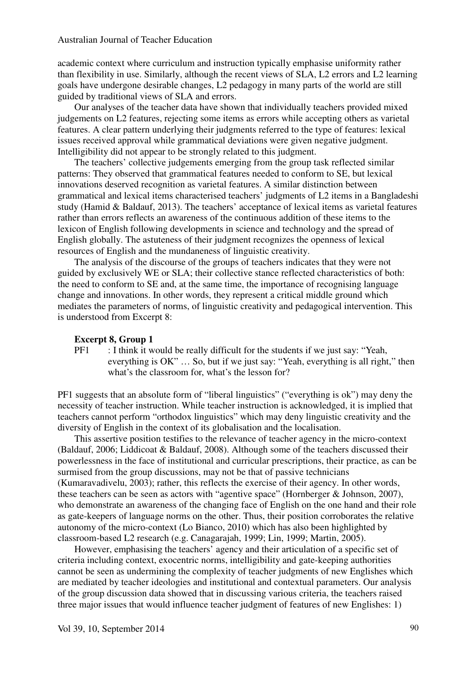academic context where curriculum and instruction typically emphasise uniformity rather than flexibility in use. Similarly, although the recent views of SLA, L2 errors and L2 learning goals have undergone desirable changes, L2 pedagogy in many parts of the world are still guided by traditional views of SLA and errors.

Our analyses of the teacher data have shown that individually teachers provided mixed judgements on L2 features, rejecting some items as errors while accepting others as varietal features. A clear pattern underlying their judgments referred to the type of features: lexical issues received approval while grammatical deviations were given negative judgment. Intelligibility did not appear to be strongly related to this judgment.

The teachers' collective judgements emerging from the group task reflected similar patterns: They observed that grammatical features needed to conform to SE, but lexical innovations deserved recognition as varietal features. A similar distinction between grammatical and lexical items characterised teachers' judgments of L2 items in a Bangladeshi study (Hamid & Baldauf, 2013). The teachers' acceptance of lexical items as varietal features rather than errors reflects an awareness of the continuous addition of these items to the lexicon of English following developments in science and technology and the spread of English globally. The astuteness of their judgment recognizes the openness of lexical resources of English and the mundaneness of linguistic creativity.

The analysis of the discourse of the groups of teachers indicates that they were not guided by exclusively WE or SLA; their collective stance reflected characteristics of both: the need to conform to SE and, at the same time, the importance of recognising language change and innovations. In other words, they represent a critical middle ground which mediates the parameters of norms, of linguistic creativity and pedagogical intervention. This is understood from Excerpt 8:

#### **Excerpt 8, Group 1**

PF1 : I think it would be really difficult for the students if we just say: "Yeah, everything is OK" … So, but if we just say: "Yeah, everything is all right," then what's the classroom for, what's the lesson for?

PF1 suggests that an absolute form of "liberal linguistics" ("everything is ok") may deny the necessity of teacher instruction. While teacher instruction is acknowledged, it is implied that teachers cannot perform "orthodox linguistics" which may deny linguistic creativity and the diversity of English in the context of its globalisation and the localisation.

This assertive position testifies to the relevance of teacher agency in the micro-context (Baldauf, 2006; Liddicoat & Baldauf, 2008). Although some of the teachers discussed their powerlessness in the face of institutional and curricular prescriptions, their practice, as can be surmised from the group discussions, may not be that of passive technicians (Kumaravadivelu, 2003); rather, this reflects the exercise of their agency. In other words, these teachers can be seen as actors with "agentive space" (Hornberger & Johnson, 2007), who demonstrate an awareness of the changing face of English on the one hand and their role as gate-keepers of language norms on the other. Thus, their position corroborates the relative autonomy of the micro-context (Lo Bianco, 2010) which has also been highlighted by classroom-based L2 research (e.g. Canagarajah, 1999; Lin, 1999; Martin, 2005).

However, emphasising the teachers' agency and their articulation of a specific set of criteria including context, exocentric norms, intelligibility and gate-keeping authorities cannot be seen as undermining the complexity of teacher judgments of new Englishes which are mediated by teacher ideologies and institutional and contextual parameters. Our analysis of the group discussion data showed that in discussing various criteria, the teachers raised three major issues that would influence teacher judgment of features of new Englishes: 1)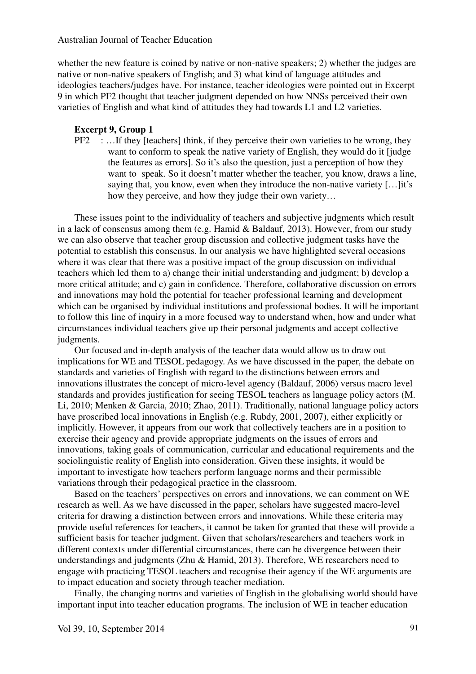whether the new feature is coined by native or non-native speakers; 2) whether the judges are native or non-native speakers of English; and 3) what kind of language attitudes and ideologies teachers/judges have. For instance, teacher ideologies were pointed out in Excerpt 9 in which PF2 thought that teacher judgment depended on how NNSs perceived their own varieties of English and what kind of attitudes they had towards L1 and L2 varieties.

#### **Excerpt 9, Group 1**

 $PF2$  : ... If they [teachers] think, if they perceive their own varieties to be wrong, they want to conform to speak the native variety of English, they would do it [judge the features as errors]. So it's also the question, just a perception of how they want to speak. So it doesn't matter whether the teacher, you know, draws a line, saying that, you know, even when they introduce the non-native variety […]it's how they perceive, and how they judge their own variety…

These issues point to the individuality of teachers and subjective judgments which result in a lack of consensus among them (e.g. Hamid & Baldauf, 2013). However, from our study we can also observe that teacher group discussion and collective judgment tasks have the potential to establish this consensus. In our analysis we have highlighted several occasions where it was clear that there was a positive impact of the group discussion on individual teachers which led them to a) change their initial understanding and judgment; b) develop a more critical attitude; and c) gain in confidence. Therefore, collaborative discussion on errors and innovations may hold the potential for teacher professional learning and development which can be organised by individual institutions and professional bodies. It will be important to follow this line of inquiry in a more focused way to understand when, how and under what circumstances individual teachers give up their personal judgments and accept collective judgments.

Our focused and in-depth analysis of the teacher data would allow us to draw out implications for WE and TESOL pedagogy. As we have discussed in the paper, the debate on standards and varieties of English with regard to the distinctions between errors and innovations illustrates the concept of micro-level agency (Baldauf, 2006) versus macro level standards and provides justification for seeing TESOL teachers as language policy actors (M. Li, 2010; Menken & Garcia, 2010; Zhao, 2011). Traditionally, national language policy actors have proscribed local innovations in English (e.g. Rubdy, 2001, 2007), either explicitly or implicitly. However, it appears from our work that collectively teachers are in a position to exercise their agency and provide appropriate judgments on the issues of errors and innovations, taking goals of communication, curricular and educational requirements and the sociolinguistic reality of English into consideration. Given these insights, it would be important to investigate how teachers perform language norms and their permissible variations through their pedagogical practice in the classroom.

Based on the teachers' perspectives on errors and innovations, we can comment on WE research as well. As we have discussed in the paper, scholars have suggested macro-level criteria for drawing a distinction between errors and innovations. While these criteria may provide useful references for teachers, it cannot be taken for granted that these will provide a sufficient basis for teacher judgment. Given that scholars/researchers and teachers work in different contexts under differential circumstances, there can be divergence between their understandings and judgments (Zhu & Hamid, 2013). Therefore, WE researchers need to engage with practicing TESOL teachers and recognise their agency if the WE arguments are to impact education and society through teacher mediation.

Finally, the changing norms and varieties of English in the globalising world should have important input into teacher education programs. The inclusion of WE in teacher education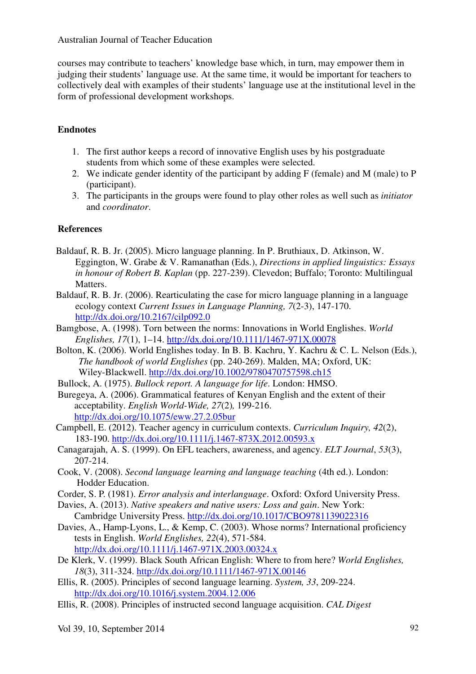courses may contribute to teachers' knowledge base which, in turn, may empower them in judging their students' language use. At the same time, it would be important for teachers to collectively deal with examples of their students' language use at the institutional level in the form of professional development workshops.

## **Endnotes**

- 1. The first author keeps a record of innovative English uses by his postgraduate students from which some of these examples were selected.
- 2. We indicate gender identity of the participant by adding F (female) and M (male) to P (participant).
- 3. The participants in the groups were found to play other roles as well such as *initiator*  and *coordinator*.

## **References**

- Baldauf, R. B. Jr. (2005). Micro language planning. In P. Bruthiaux, D. Atkinson, W. Eggington, W. Grabe & V. Ramanathan (Eds.), *Directions in applied linguistics: Essays in honour of Robert B. Kaplan* (pp. 227-239). Clevedon; Buffalo; Toronto: Multilingual Matters.
- Baldauf, R. B. Jr. (2006). Rearticulating the case for micro language planning in a language ecology context *Current Issues in Language Planning, 7*(2-3), 147-170. http://dx.doi.org/10.2167/cilp092.0
- Bamgbose, A. (1998). Torn between the norms: Innovations in World Englishes. *World Englishes, 17*(1), 1–14. http://dx.doi.org/10.1111/1467-971X.00078
- Bolton, K. (2006). World Englishes today. In B. B. Kachru, Y. Kachru & C. L. Nelson (Eds.), *The handbook of world Englishes* (pp. 240-269). Malden, MA; Oxford, UK: Wiley-Blackwell. http://dx.doi.org/10.1002/9780470757598.ch15
- Bullock, A. (1975). *Bullock report. A language for life*. London: HMSO.
- Buregeya, A. (2006). Grammatical features of Kenyan English and the extent of their acceptability. *English World-Wide, 27*(2)*,* 199-216. http://dx.doi.org/10.1075/eww.27.2.05bur
- Campbell, E. (2012). Teacher agency in curriculum contexts. *Curriculum Inquiry, 42*(2), 183-190. http://dx.doi.org/10.1111/j.1467-873X.2012.00593.x
- Canagarajah, A. S. (1999). On EFL teachers, awareness, and agency. *ELT Journal*, *53*(3), 207-214.
- Cook, V. (2008). *Second language learning and language teaching* (4th ed.). London: Hodder Education.
- Corder, S. P. (1981). *Error analysis and interlanguage*. Oxford: Oxford University Press.
- Davies, A. (2013). *Native speakers and native users: Loss and gain*. New York: Cambridge University Press. http://dx.doi.org/10.1017/CBO9781139022316
- Davies, A., Hamp-Lyons, L., & Kemp, C. (2003). Whose norms? International proficiency tests in English. *World Englishes, 22*(4), 571-584. http://dx.doi.org/10.1111/j.1467-971X.2003.00324.x
- De Klerk, V. (1999). Black South African English: Where to from here? *World Englishes, 18*(3), 311-324. http://dx.doi.org/10.1111/1467-971X.00146
- Ellis, R. (2005). Principles of second language learning. *System, 33*, 209-224. http://dx.doi.org/10.1016/j.system.2004.12.006
- Ellis, R. (2008). Principles of instructed second language acquisition. *CAL Digest*

Vol 39, 10, September 2014 92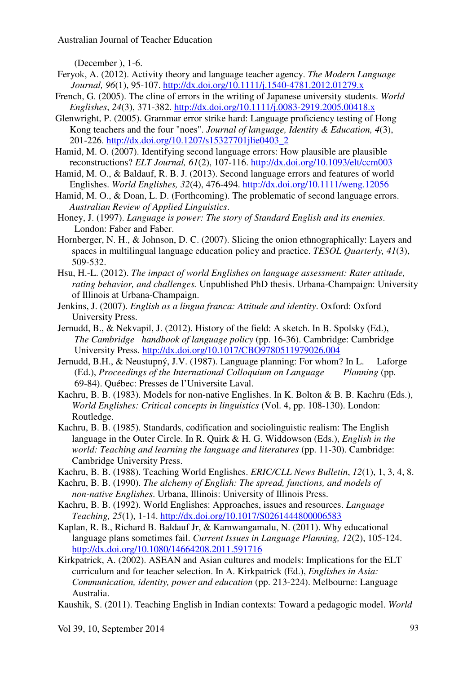(December ), 1-6.

- Feryok, A. (2012). Activity theory and language teacher agency. *The Modern Language Journal, 96*(1), 95-107. http://dx.doi.org/10.1111/j.1540-4781.2012.01279.x
- French, G. (2005). The cline of errors in the writing of Japanese university students. *World Englishes*, *24*(3), 371-382. http://dx.doi.org/10.1111/j.0083-2919.2005.00418.x
- Glenwright, P. (2005). Grammar error strike hard: Language proficiency testing of Hong Kong teachers and the four "noes". *Journal of language, Identity & Education, 4*(3), 201-226. http://dx.doi.org/10.1207/s15327701jlie0403\_2
- Hamid, M. O. (2007). Identifying second language errors: How plausible are plausible reconstructions? *ELT Journal, 61*(2), 107-116. http://dx.doi.org/10.1093/elt/ccm003
- Hamid, M. O., & Baldauf, R. B. J. (2013). Second language errors and features of world Englishes. *World Englishes, 32*(4), 476-494. http://dx.doi.org/10.1111/weng.12056
- Hamid, M. O., & Doan, L. D. (Forthcoming). The problematic of second language errors. *Australian Review of Applied Linguistics*.
- Honey, J. (1997). *Language is power: The story of Standard English and its enemies*. London: Faber and Faber.
- Hornberger, N. H., & Johnson, D. C. (2007). Slicing the onion ethnographically: Layers and spaces in multilingual language education policy and practice. *TESOL Quarterly, 41*(3), 509-532.
- Hsu, H.-L. (2012). *The impact of world Englishes on language assessment: Rater attitude, rating behavior, and challenges.* Unpublished PhD thesis. Urbana-Champaign: University of Illinois at Urbana-Champaign.
- Jenkins, J. (2007). *English as a lingua franca: Attitude and identity*. Oxford: Oxford University Press.
- Jernudd, B., & Nekvapil, J. (2012). History of the field: A sketch. In B. Spolsky (Ed.), *The Cambridge handbook of language policy* (pp. 16-36). Cambridge: Cambridge University Press. http://dx.doi.org/10.1017/CBO9780511979026.004
- Jernudd, B.H., & Neustupný, J.V. (1987). Language planning: For whom? In L. Laforge (Ed.), *Proceedings of the International Colloquium on Language Planning* (pp. 69-84). Québec: Presses de l'Universite Laval.
- Kachru, B. B. (1983). Models for non-native Englishes. In K. Bolton & B. B. Kachru (Eds.), *World Englishes: Critical concepts in linguistics* (Vol. 4, pp. 108-130). London: Routledge.
- Kachru, B. B. (1985). Standards, codification and sociolinguistic realism: The English language in the Outer Circle. In R. Quirk & H. G. Widdowson (Eds.), *English in the world: Teaching and learning the language and literatures* (pp. 11-30). Cambridge: Cambridge University Press.
- Kachru, B. B. (1988). Teaching World Englishes. *ERIC/CLL News Bulletin*, *12*(1), 1, 3, 4, 8.
- Kachru, B. B. (1990). *The alchemy of English: The spread, functions, and models of non-native Englishes*. Urbana, Illinois: University of Illinois Press.
- Kachru, B. B. (1992). World Englishes: Approaches, issues and resources. *Language Teaching, 25*(1), 1-14. http://dx.doi.org/10.1017/S0261444800006583
- Kaplan, R. B., Richard B. Baldauf Jr, & Kamwangamalu, N. (2011). Why educational language plans sometimes fail. *Current Issues in Language Planning, 12*(2), 105-124. http://dx.doi.org/10.1080/14664208.2011.591716
- Kirkpatrick, A. (2002). ASEAN and Asian cultures and models: Implications for the ELT curriculum and for teacher selection. In A. Kirkpatrick (Ed.), *Englishes in Asia: Communication, identity, power and education* (pp. 213-224). Melbourne: Language Australia.
- Kaushik, S. (2011). Teaching English in Indian contexts: Toward a pedagogic model. *World*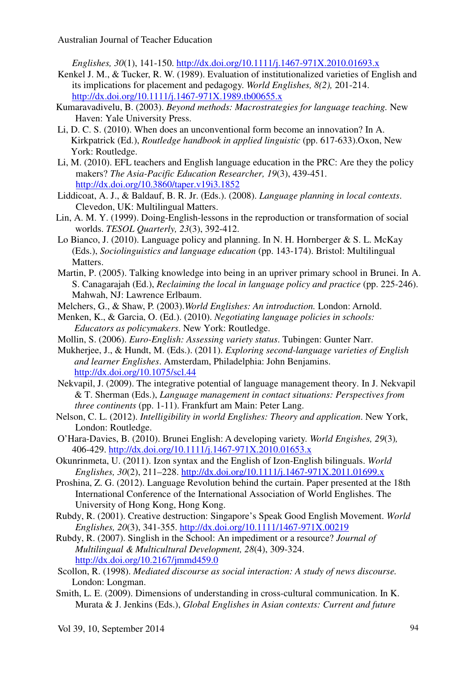*Englishes, 30*(1), 141-150. http://dx.doi.org/10.1111/j.1467-971X.2010.01693.x

- Kenkel J. M., & Tucker, R. W. (1989). Evaluation of institutionalized varieties of English and its implications for placement and pedagogy. *World Englishes, 8(2),* 201-214. http://dx.doi.org/10.1111/j.1467-971X.1989.tb00655.x
- Kumaravadivelu, B. (2003). *Beyond methods: Macrostrategies for language teaching.* New Haven: Yale University Press.
- Li, D. C. S. (2010). When does an unconventional form become an innovation? In A. Kirkpatrick (Ed.), *Routledge handbook in applied linguistic* (pp. 617-633).Oxon, New York: Routledge.
- Li, M. (2010). EFL teachers and English language education in the PRC: Are they the policy makers? *The Asia-Pacific Education Researcher, 19*(3), 439-451. http://dx.doi.org/10.3860/taper.v19i3.1852
- Liddicoat, A. J., & Baldauf, B. R. Jr. (Eds.). (2008). *Language planning in local contexts*. Clevedon, UK: Multilingual Matters.
- Lin, A. M. Y. (1999). Doing-English-lessons in the reproduction or transformation of social worlds. *TESOL Quarterly, 23*(3), 392-412.
- Lo Bianco, J. (2010). Language policy and planning. In N. H. Hornberger & S. L. McKay (Eds.), *Sociolinguistics and language education* (pp. 143-174). Bristol: Multilingual Matters.
- Martin, P. (2005). Talking knowledge into being in an upriver primary school in Brunei. In A. S. Canagarajah (Ed.), *Reclaiming the local in language policy and practice* (pp. 225-246). Mahwah, NJ: Lawrence Erlbaum.
- Melchers, G., & Shaw, P. (2003).*World Englishes: An introduction.* London: Arnold.
- Menken, K., & Garcia, O. (Ed.). (2010). *Negotiating language policies in schools: Educators as policymakers*. New York: Routledge.
- Mollin, S. (2006). *Euro-English: Assessing variety status*. Tubingen: Gunter Narr.

Mukherjee, J., & Hundt, M. (Eds.). (2011). *Exploring second-language varieties of English and learner Englishes*. Amsterdam, Philadelphia: John Benjamins. http://dx.doi.org/10.1075/scl.44

- Nekvapil, J. (2009). The integrative potential of language management theory. In J. Nekvapil & T. Sherman (Eds.), *Language management in contact situations: Perspectives from three continents* (pp. 1-11). Frankfurt am Main: Peter Lang.
- Nelson, C. L. (2012). *Intelligibility in world Englishes: Theory and application*. New York, London: Routledge.
- O'Hara-Davies, B. (2010). Brunei English: A developing variety. *World Engishes, 29*(3)*,*  406-429. http://dx.doi.org/10.1111/j.1467-971X.2010.01653.x
- Okunrinmeta, U. (2011). Izon syntax and the English of Izon-English bilinguals. *World Englishes, 30*(2), 211–228. http://dx.doi.org/10.1111/j.1467-971X.2011.01699.x
- Proshina, Z. G. (2012). Language Revolution behind the curtain. Paper presented at the 18th International Conference of the International Association of World Englishes. The University of Hong Kong, Hong Kong.
- Rubdy, R. (2001). Creative destruction: Singapore's Speak Good English Movement. *World Englishes, 20*(3), 341-355. http://dx.doi.org/10.1111/1467-971X.00219
- Rubdy, R. (2007). Singlish in the School: An impediment or a resource? *Journal of Multilingual & Multicultural Development, 28*(4), 309-324. http://dx.doi.org/10.2167/jmmd459.0
- Scollon, R. (1998). *Mediated discourse as social interaction: A study of news discourse.* London: Longman.
- Smith, L. E. (2009). Dimensions of understanding in cross-cultural communication. In K. Murata & J. Jenkins (Eds.), *Global Englishes in Asian contexts: Current and future*